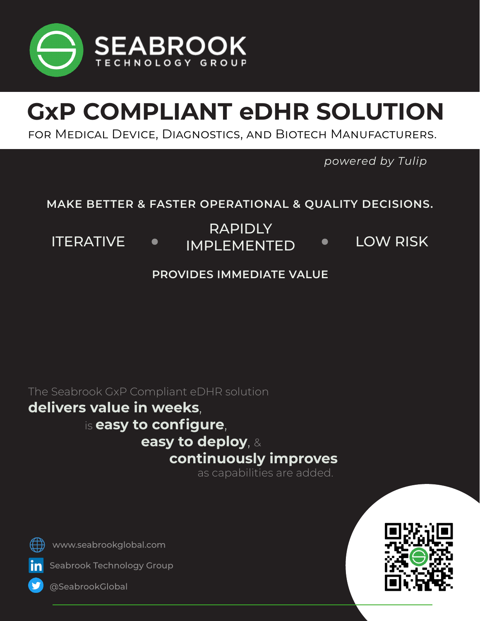

# **GxP COMPLIANT eDHR SOLUTION**

for Medical Device, Diagnostics, and Biotech Manufacturers.

*powered by Tulip*

### **MAKE BETTER & FASTER OPERATIONAL & QUALITY DECISIONS.**

RAPIDLY

ITERATIVE • IMPLEMENTED • LOW RISK

### **PROVIDES IMMEDIATE VALUE**

The Seabrook GxP Compliant eDHR solution

# **delivers value in weeks**, is **easy to configure**, **easy to deploy**, & **continuously improves** as capabilities are added.

www.seabrookglobal.com



Seabrook Technology Group



@SeabrookGlobal

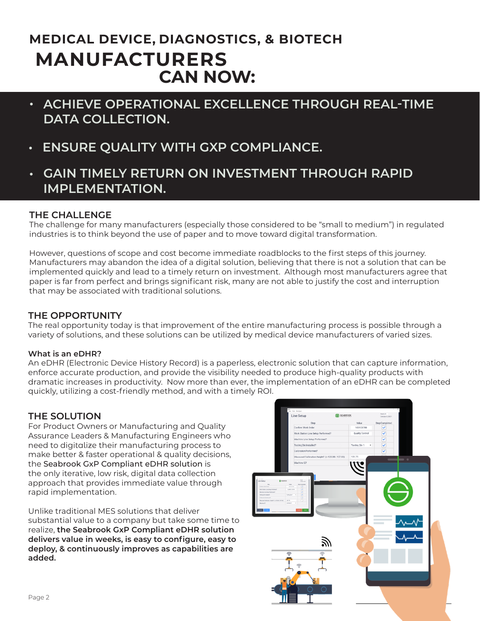## **CAN NOW: MEDICAL DEVICE, DIAGNOSTICS, & BIOTECH MANUFACTURERS**

- **• ACHIEVE OPERATIONAL EXCELLENCE THROUGH REAL-TIME DATA COLLECTION.**
- **• ENSURE QUALITY WITH GXP COMPLIANCE.**
- **• GAIN TIMELY RETURN ON INVESTMENT THROUGH RAPID IMPLEMENTATION.**

#### **THE CHALLENGE**

The challenge for many manufacturers (especially those considered to be "small to medium") in regulated industries is to think beyond the use of paper and to move toward digital transformation.

However, questions of scope and cost become immediate roadblocks to the first steps of this journey. Manufacturers may abandon the idea of a digital solution, believing that there is not a solution that can be implemented quickly and lead to a timely return on investment. Although most manufacturers agree that paper is far from perfect and brings significant risk, many are not able to justify the cost and interruption that may be associated with traditional solutions.

#### **THE OPPORTUNITY**

The real opportunity today is that improvement of the entire manufacturing process is possible through a variety of solutions, and these solutions can be utilized by medical device manufacturers of varied sizes.

#### **What is an eDHR?**

An eDHR (Electronic Device History Record) is a paperless, electronic solution that can capture information, enforce accurate production, and provide the visibility needed to produce high-quality products with dramatic increases in productivity. Now more than ever, the implementation of an eDHR can be completed quickly, utilizing a cost-friendly method, and with a timely ROI.

#### **THE SOLUTION**

For Product Owners or Manufacturing and Quality Assurance Leaders & Manufacturing Engineers who need to digitalize their manufacturing process to make better & faster operational & quality decisions, the Seabrook GxP Compliant eDHR solution is the only iterative, low risk, digital data collection approach that provides immediate value through rapid implementation.

Unlike traditional MES solutions that deliver substantial value to a company but take some time to realize, **the Seabrook GxP Compliant eDHR solution delivers value in weeks, is easy to configure, easy to deploy, & continuously improves as capabilities are added.** 

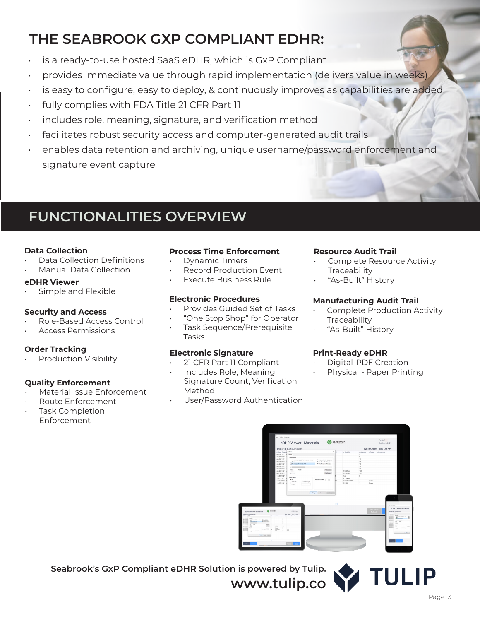## **THE SEABROOK GXP COMPLIANT EDHR:**

- is a ready-to-use hosted SaaS eDHR, which is GxP Compliant
- provides immediate value through rapid implementation (delivers value in weeks)
- is easy to configure, easy to deploy, & continuously improves as capabilities are added.
- fully complies with FDA Title 21 CFR Part 11
- includes role, meaning, signature, and verification method
- facilitates robust security access and computer-generated audit trails
- enables data retention and archiving, unique username/password enforcement and signature event capture

## **FUNCTIONALITIES OVERVIEW**

#### **Data Collection**

- Data Collection Definitions
- Manual Data Collection

#### **eDHR Viewer**

• Simple and Flexible

#### **Security and Access**

- Role-Based Access Control
- Access Permissions

#### **Order Tracking**

• Production Visibility

#### **Quality Enforcement**

- Material Issue Enforcement
- Route Enforcement
- Task Completion Enforcement

#### **Process Time Enforcement**

- Dynamic Timers
- **Record Production Event**
- Execute Business Rule

#### **Electronic Procedures**

- Provides Guided Set of Tasks
- "One Stop Shop" for Operator
- Task Sequence/Prerequisite Tasks

#### **Electronic Signature**

- 21 CFR Part 11 Compliant
- Includes Role, Meaning, Signature Count, Verification Method
- User/Password Authentication

#### **Resource Audit Trail**

- Complete Resource Activity **Traceability**
- "As-Built" History

#### **Manufacturing Audit Trail**

- Complete Production Activity **Traceability**
- "As-Built" History

#### **Print-Ready eDHR**

- Digital-PDF Creation
- Physical Paper Printing



**www.tulip.co**

**Seabrook's GxP Compliant eDHR Solution is powered by Tulip.**